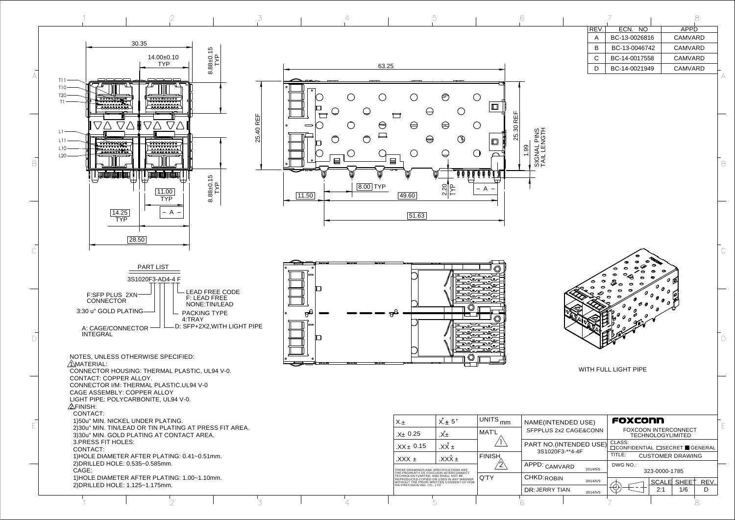WITH FULL LIGHT PIPE



C

B

| ING.                                    | X.±                                                                                                                     | $X_{\cdot}$ 5°         | UNITS <sub>mm</sub> | NAME(INTENDED USE)                         | FOXCONN                                                            |  |  |
|-----------------------------------------|-------------------------------------------------------------------------------------------------------------------------|------------------------|---------------------|--------------------------------------------|--------------------------------------------------------------------|--|--|
| TING AT PRESS FIT AREA.<br>ONTACT AREA. | <sub>.X±</sub> 0.25                                                                                                     | .X±                    | <b>MAT'L</b>        | SFPPLUS 2x2 CAGE&CONN                      | <b>FOXCOON INTERCONNECT</b><br><b>TECHNOLOGYLIMITED</b>            |  |  |
|                                         | $.XX \pm 0.15$                                                                                                          | $\overline{XX}$ $\pm$  |                     | PART NO. (INTENDED USE)<br>3S1020F3-**4-4F | CLASS:<br>$\Box$ CONFIDENTIAL $\Box$ SECRET $\blacksquare$ GENERAL |  |  |
| NG: 0.41~0.51mm.                        | + XXX.                                                                                                                  | $\overline{XXX}_{\pm}$ | <b>FINISH</b>       |                                            | TITLE:<br><b>CUSTOMER DRAWING</b>                                  |  |  |
|                                         | THESE DRAWINGS AND SPECIFICATIONS ARE                                                                                   |                        |                     | APPD: <sub>CAMVARD</sub><br>2014/5/5       | DWG NO.:<br>323-0000-1785                                          |  |  |
| NG: 1.00~1.10mm.                        | THE PROPERTY OF FOXCOON INTERCONNECT<br>TECHNOLOGYLIMITED. AND SHALL NOT BE<br>REPRODUCED, COPIED OR USED IN ANY MANNER |                        | Q'TY                | CHKD: ROBIN<br>2014/5/5                    | REV.<br><b>SCALE SHEET</b>                                         |  |  |
|                                         | HAI PRECISION IND. CO., LTD.                                                                                            |                        |                     | DR: JERRY TIAN<br>2014/5/5                 | 1/6<br>D<br>2:1                                                    |  |  |
|                                         |                                                                                                                         |                        |                     |                                            |                                                                    |  |  |
|                                         |                                                                                                                         |                        |                     |                                            |                                                                    |  |  |

 $\Box$ 

| REV. | ECN. NO       |  |         | APPD |  |
|------|---------------|--|---------|------|--|
| А    | BC-13-0026816 |  | CAMVARD |      |  |
| R    | BC-13-0046742 |  | CAMVARD |      |  |
| C    | BC-14-0017558 |  | CAMVARD |      |  |
|      | BC-14-0021949 |  | CAMVARD |      |  |
|      |               |  |         |      |  |

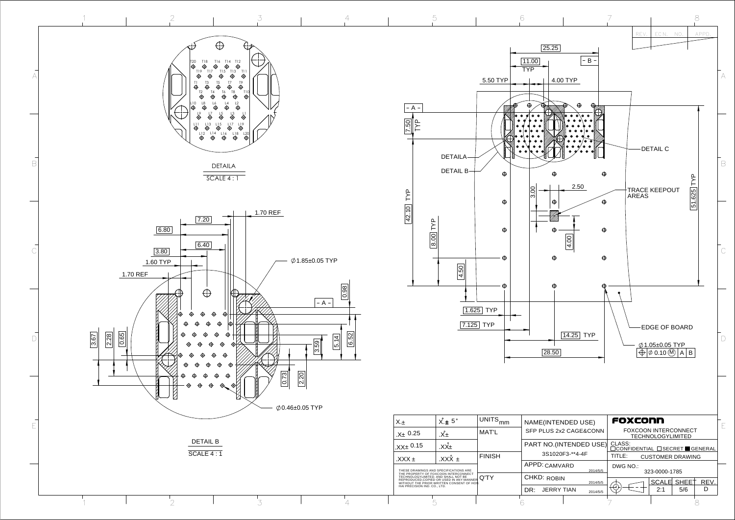